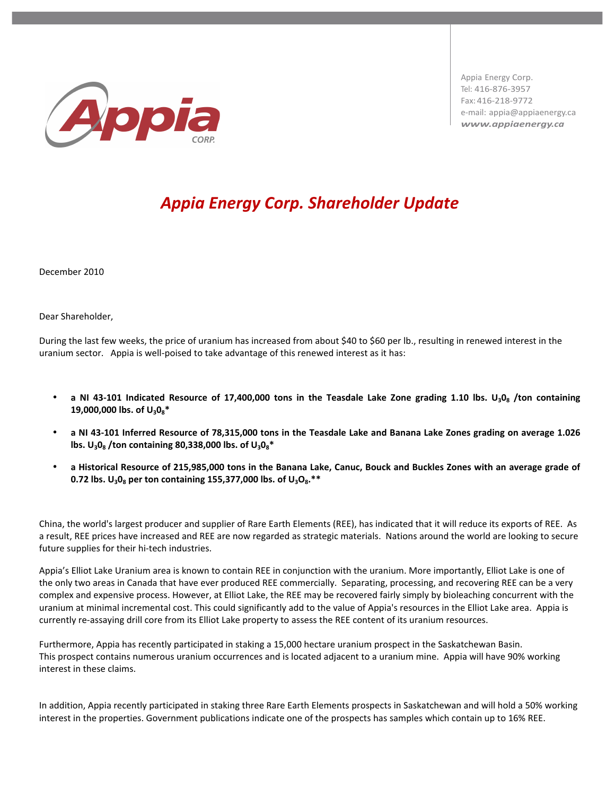

Appia Energy Corp.% Tel: 416-876-3957 Fax: 416-218-9772 e-mail: appia@appiaenergy.ca *www.appiaenergy.ca*

## *Appia-Energy-Corp.-Shareholder Update*

December 2010

Dear Shareholder,

During the last few weeks, the price of uranium has increased from about \$40 to \$60 per lb., resulting in renewed interest in the uranium sector. Appia is well-poised to take advantage of this renewed interest as it has:

- a NI 43-101 Indicated Resource of 17,400,000 tons in the Teasdale Lake Zone grading 1.10 lbs. U<sub>3</sub>0<sub>8</sub> /ton containing **19,000,000 lbs. of U<sub>3</sub>0<sub>8</sub>\***
- a NI 43-101 Inferred Resource of 78,315,000 tons in the Teasdale Lake and Banana Lake Zones grading on average 1.026 lbs. U<sub>3</sub>0<sub>8</sub> /ton containing 80,338,000 lbs. of U<sub>3</sub>0<sub>8</sub><sup>\*</sup>
- a Historical Resource of 215,985,000 tons in the Banana Lake, Canuc, Bouck and Buckles Zones with an average grade of **0.72 lbs.**  $U_3O_8$  **per ton containing 155,377,000 lbs. of**  $U_3O_8.**$

China, the world's largest producer and supplier of Rare Earth Elements (REE), has indicated that it will reduce its exports of REE. As a result, REE prices have increased and REE are now regarded as strategic materials. Nations around the world are looking to secure future supplies for their hi-tech industries.

Appia's Elliot Lake Uranium area is known to contain REE in conjunction with the uranium. More importantly, Elliot Lake is one of the only two areas in Canada that have ever produced REE commercially. Separating, processing, and recovering REE can be a very complex and expensive process. However, at Elliot Lake, the REE may be recovered fairly simply by bioleaching concurrent with the uranium at minimal incremental cost. This could significantly add to the value of Appia's resources in the Elliot Lake area. Appia is currently re-assaying drill core from its Elliot Lake property to assess the REE content of its uranium resources.

Furthermore, Appia has recently participated in staking a 15,000 hectare uranium prospect in the Saskatchewan Basin. This prospect contains numerous uranium occurrences and is located adjacent to a uranium mine. Appia will have 90% working interest in these claims.

In addition, Appia recently participated in staking three Rare Earth Elements prospects in Saskatchewan and will hold a 50% working interest in the properties. Government publications indicate one of the prospects has samples which contain up to 16% REE.